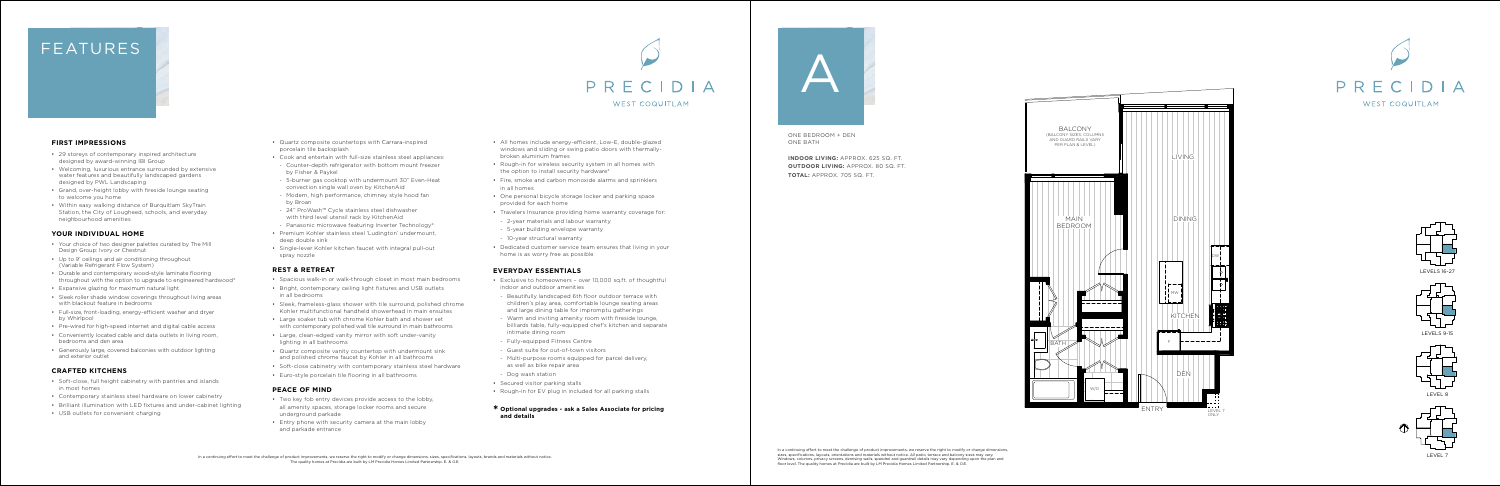In a continuing effort to meet the challenge of product improvements, we reserve the right to modify or change dimensions, sizes, specifications, layouts, orientations and materials without notice. All patio, terrace and balcony sizes may vary. Windows, columns, privacy screens, demising walls, spandrel and guardrail details may vary depending upon the plan and floor level. The quality homes at Precidia are built by LM Precidia Homes Limited Partnership. E. & O.E.











LEVELS 9-15



# FEATURES

ONE BEDROOM + DEN ONE BATH

**INDOOR LIVING:** APPROX. 625 SQ. FT. **OUTDOOR LIVING:** APPROX. 80 SQ. FT.







#### **FIRST IMPRESSIONS**

- 29 storeys of contemporary inspired architecture designed by award-winning IBI Group
- Welcoming, luxurious entrance surrounded by extensive water features and beautifully landscaped gardens designed by PWL Landscaping
- Grand, over-height lobby with fireside lounge seating to welcome you home
- Within easy walking distance of Burquitlam SkyTrain Station, the City of Lougheed, schools, and everyday neighbourhood amenities

#### **YOUR INDIVIDUAL HOME**

- Your choice of two designer palettes curated by The Mill Design Group: Ivory or Chestnut
- Up to 9' ceilings and air conditioning throughout (Variable Refrigerant Flow System)
- Durable and contemporary wood-style laminate flooring throughout with the option to upgrade to engineered hardwood\*
- Expansive glazing for maximum natural light
- Sleek roller shade window coverings throughout living areas with blackout feature in bedrooms
- Full-size, front-loading, energy-efficient washer and dryer by Whirlpool
- Pre-wired for high-speed internet and digital cable access
- Conveniently located cable and data outlets in living room, bedrooms and den area
- Generously large, covered balconies with outdoor lighting and exterior outlet

#### **CRAFTED KITCHENS**

- All homes include energy-efficient, Low-E, double-glazed windows and sliding or swing patio doors with thermally-
- Rough-in for wireless security system in all homes with the option to install security hardware\*
- Fire, smoke and carbon monoxide alarms and sprinklers
- One personal bicycle storage locker and parking space
- Travelers Insurance providing home warranty coverage for:
- 2-year materials and labour warranty
	-
	-

- Soft-close, full height cabinetry with pantries and islands in most homes
- Contemporary stainless steel hardware on lower cabinetry
- Brilliant illumination with LED fixtures and under-cabinet lighting
- USB outlets for convenient charging
- Quartz composite countertops with Carrara-inspired porcelain tile backsplash
- Cook and entertain with full-size stainless steel appliances:
- Counter-depth refrigerator with bottom mount freezer by Fisher & Paykel
- 5-burner gas cooktop with undermount 30" Even-Heat convection single wall oven by KitchenAid
- Modern, high performance, chimney style hood fan by Broan
- 24" ProWash™ Cycle stainless steel dishwasher with third level utensil rack by KitchenAid
- Panasonic microwave featuring Inverter Technology®
- Premium Kohler stainless steel 'Ludington' undermount, deep double sink
- Single-lever Kohler kitchen faucet with integral pull-out spray nozzle

#### **REST & RETREAT**

- Spacious walk-in or walk-through closet in most main bedrooms
- Bright, contemporary ceiling light fixtures and USB outlets in all bedrooms
- Sleek, frameless-glass shower with tile surround, polished chrome Kohler multifunctional handheld showerhead in main ensuites
- Large soaker tub with chrome Kohler bath and shower set with contemporary polished wall tile surround in main bathrooms
- Large, clean-edged vanity mirror with soft under-vanity lighting in all bathrooms
- Quartz composite vanity countertop with undermount sink and polished chrome faucet by Kohler in all bathrooms
- Soft-close cabinetry with contemporary stainless steel hardware
- Euro-style porcelain tile flooring in all bathrooms

#### **PEACE OF MIND**

- Two key fob entry devices provide access to the lobby, all amenity spaces, storage locker rooms and secure underground parkade
- Entry phone with security camera at the main lobby and parkade entrance
- broken aluminum frames
- 
- in all homes
- provided for each home
- 
- 5-year building envelope warranty
- 10-year structural warranty
- Dedicated customer service team ensures that living in your home is as worry free as possible

### **EVERYDAY ESSENTIALS**

- Exclusive to homeowners over 10,000 sq.ft. of thoughtful indoor and outdoor amenities
- Beautifully landscaped 6th floor outdoor terrace with children's play area, comfortable lounge seating areas and large dining table for impromptu gatherings
- intimate dining room
- 
- 
- as well as bike repair area - Dog wash station
- Secured visitor parking stalls
- Rough-in for EV plug in included for all parking stalls
- Warm and inviting amenity room with fireside lounge,
- billiards table, fully-equipped chef's kitchen and separate
- Fully-equipped Fitness Centre
- Guest suite for out-of-town visitors
- Multi-purpose rooms equipped for parcel delivery,
	-

#### **\* Optional upgrades - ask a Sales Associate for pricing**

## **and details**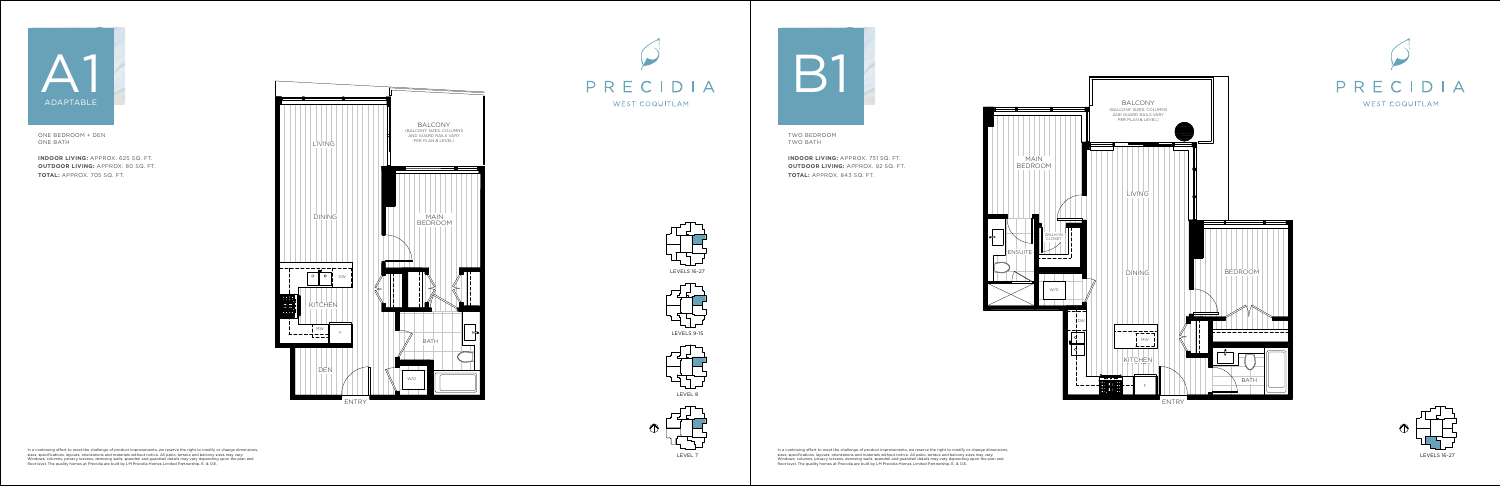In a continuing effort to meet the challenge of product improvements, we reserve the right to modify or change dimensions, sizes, specifications, layouts, orientations and materials without notice. All patio, terrace and balcony sizes may vary. Windows, columns, privacy screens, demising walls, spandrel and guardrail details may vary depending upon the plan and floor level. The quality homes at Precidia are built by LM Precidia Homes Limited Partnership. E. & O.E.

In a continuing effort to meet the challenge of product improvements, we reserve the right to modify or change dimensions, sizes, specifications, layouts, orientations and materials without notice. All patio, terrace and balcony sizes may vary. Windows, columns, privacy screens, demising walls, spandrel and guardrail details may vary depending upon the plan and floor level. The quality homes at Precidia are built by LM Precidia Homes Limited Partnership. E. & O.E.













ONE BEDROOM + DEN ONE BATH

**INDOOR LIVING:** APPROX. 625 SQ. FT. **OUTDOOR LIVING:** APPROX. 80 SQ. FT. **TOTAL:** APPROX. 705 SQ. FT.





TWO BEDROOM TWO BATH

**INDOOR LIVING:** APPROX. 751 SQ. FT. **OUTDOOR LIVING:** APPROX. 92 SQ. FT. **TOTAL:** APPROX. 843 SQ. FT.







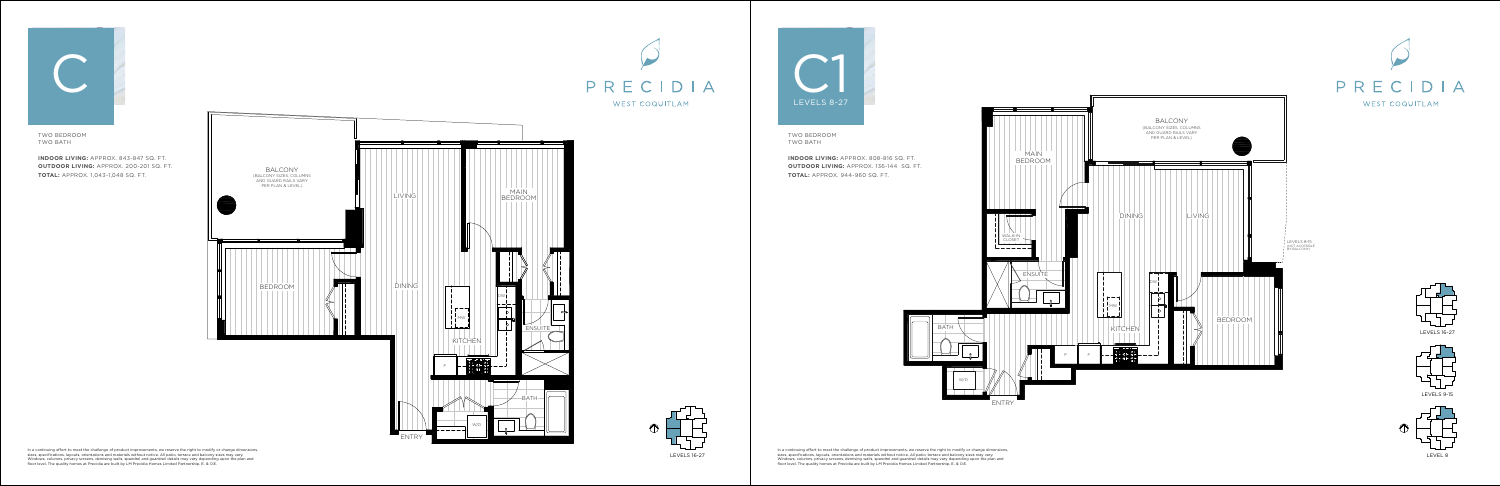In a continuing effort to meet the challenge of product improvements, we reserve the right to modify or change dimensions, sizes, specifications, layouts, orientations and materials without notice. All patio, terrace and balcony sizes may vary. Windows, columns, privacy screens, demising walls, spandrel and guardrail details may vary depending upon the plan and floor level. The quality homes at Precidia are built by LM Precidia Homes Limited Partnership. E. & O.E.



In a continuing effort to meet the challenge of product improvements, we reserve the right to modify or change dimensions, sizes, specifications, layouts, orientations and materials without notice. All patio, terrace and balcony sizes may vary. Windows, columns, privacy screens, demising walls, spandrel and guardrail details may vary depending upon the plan and floor level. The quality homes at Precidia are built by LM Precidia Homes Limited Partnership. E. & O.E.













TWO BEDROOM TWO BATH

**INDOOR LIVING:** APPROX. 843-847 SQ. FT. **OUTDOOR LIVING:** APPROX. 200-201 SQ. FT. **TOTAL:** APPROX. 1,043-1,048 SQ. FT.



TWO BEDROOM TWO BATH

**INDOOR LIVING:** APPROX. 808-816 SQ. FT. **OUTDOOR LIVING:** APPROX. 136-144 SQ. FT. **TOTAL:** APPROX. 944-960 SQ. FT.